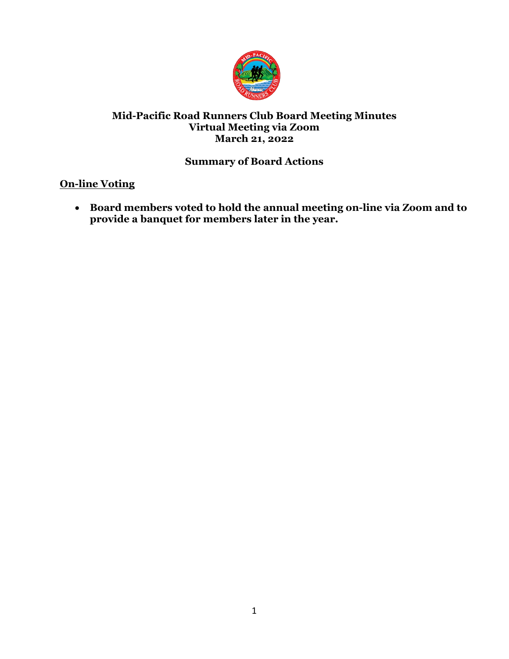

# **Mid-Pacific Road Runners Club Board Meeting Minutes Virtual Meeting via Zoom March 21, 2022**

# **Summary of Board Actions**

# **On-line Voting**

• **Board members voted to hold the annual meeting on-line via Zoom and to provide a banquet for members later in the year.**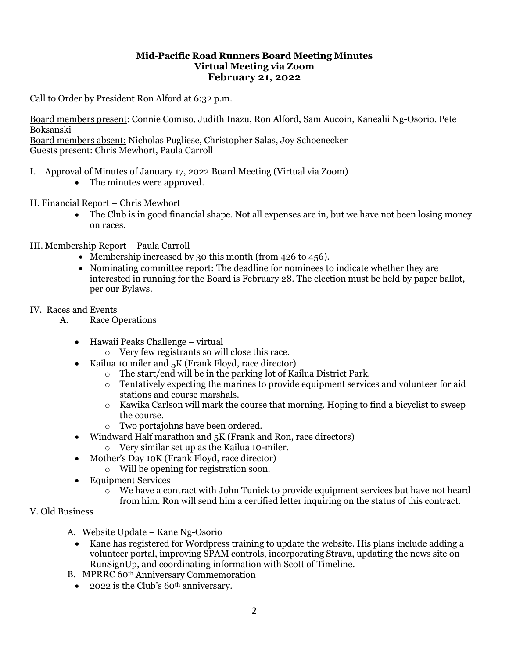### **Mid-Pacific Road Runners Board Meeting Minutes Virtual Meeting via Zoom February 21, 2022**

Call to Order by President Ron Alford at 6:32 p.m.

Board members present: Connie Comiso, Judith Inazu, Ron Alford, Sam Aucoin, Kanealii Ng-Osorio, Pete Boksanski Board members absent: Nicholas Pugliese, Christopher Salas, Joy Schoenecker Guests present: Chris Mewhort, Paula Carroll

## I. Approval of Minutes of January 17, 2022 Board Meeting (Virtual via Zoom)

- The minutes were approved.
- II. Financial Report Chris Mewhort
	- The Club is in good financial shape. Not all expenses are in, but we have not been losing money on races.
- III. Membership Report Paula Carroll
	- Membership increased by 30 this month (from 426 to 456).
	- Nominating committee report: The deadline for nominees to indicate whether they are interested in running for the Board is February 28. The election must be held by paper ballot, per our Bylaws.

#### IV. Races and Events

- A. Race Operations
	- Hawaii Peaks Challenge virtual
		- o Very few registrants so will close this race.
	- Kailua 10 miler and 5K (Frank Floyd, race director)
		- o The start/end will be in the parking lot of Kailua District Park.
		- o Tentatively expecting the marines to provide equipment services and volunteer for aid stations and course marshals.
		- $\circ$  Kawika Carlson will mark the course that morning. Hoping to find a bicyclist to sweep the course.
		- o Two portajohns have been ordered.
	- Windward Half marathon and 5K (Frank and Ron, race directors)
		- o Very similar set up as the Kailua 10-miler.
	- Mother's Day 10K (Frank Floyd, race director)
		- o Will be opening for registration soon.
	- Equipment Services
		- o We have a contract with John Tunick to provide equipment services but have not heard from him. Ron will send him a certified letter inquiring on the status of this contract.

### V. Old Business

- A. Website Update Kane Ng-Osorio
	- Kane has registered for Wordpress training to update the website. His plans include adding a volunteer portal, improving SPAM controls, incorporating Strava, updating the news site on RunSignUp, and coordinating information with Scott of Timeline.
- B. MPRRC 60th Anniversary Commemoration
	- 2022 is the Club's  $60<sup>th</sup>$  anniversary.